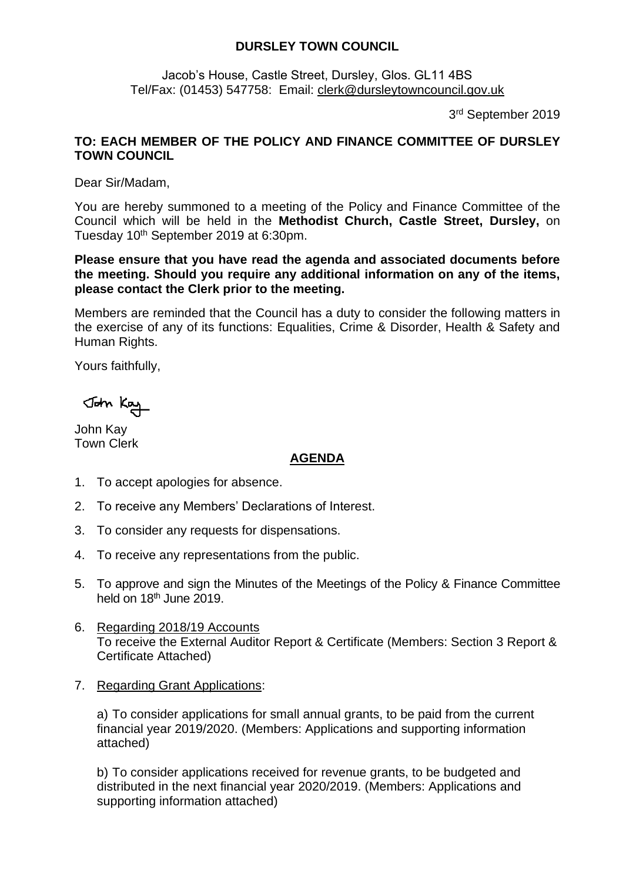## **DURSLEY TOWN COUNCIL**

Jacob's House, Castle Street, Dursley, Glos. GL11 4BS Tel/Fax: (01453) 547758: Email: [clerk@dursleytowncouncil.gov.uk](mailto:clerk@dursleytowncouncil.gov.uk)

3 rd September 2019

## **TO: EACH MEMBER OF THE POLICY AND FINANCE COMMITTEE OF DURSLEY TOWN COUNCIL**

Dear Sir/Madam,

You are hereby summoned to a meeting of the Policy and Finance Committee of the Council which will be held in the **Methodist Church, Castle Street, Dursley,** on Tuesday 10 th September 2019 at 6:30pm.

**Please ensure that you have read the agenda and associated documents before the meeting. Should you require any additional information on any of the items, please contact the Clerk prior to the meeting.** 

Members are reminded that the Council has a duty to consider the following matters in the exercise of any of its functions: Equalities, Crime & Disorder, Health & Safety and Human Rights.

Yours faithfully,

John Kay

John Kay Town Clerk

## **AGENDA**

- 1. To accept apologies for absence.
- 2. To receive any Members' Declarations of Interest.
- 3. To consider any requests for dispensations.
- 4. To receive any representations from the public.
- 5. To approve and sign the Minutes of the Meetings of the Policy & Finance Committee held on 18<sup>th</sup> June 2019.
- 6. Regarding 2018/19 Accounts To receive the External Auditor Report & Certificate (Members: Section 3 Report & Certificate Attached)
- 7. Regarding Grant Applications:

a) To consider applications for small annual grants, to be paid from the current financial year 2019/2020. (Members: Applications and supporting information attached)

b) To consider applications received for revenue grants, to be budgeted and distributed in the next financial year 2020/2019. (Members: Applications and supporting information attached)